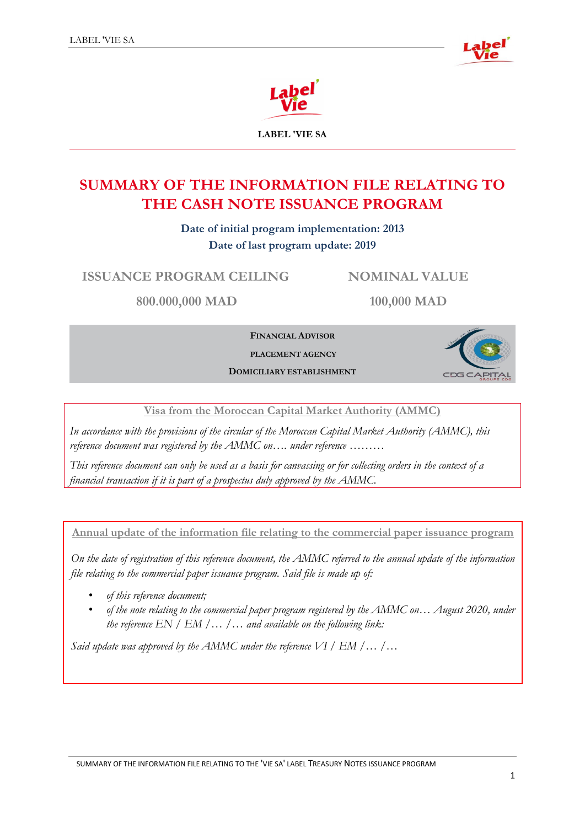



**LABEL 'VIE SA**

# **SUMMARY OF THE INFORMATION FILE RELATING TO THE CASH NOTE ISSUANCE PROGRAM**

**Date of initial program implementation: 2013 Date of last program update: 2019**

**ISSUANCE PROGRAM CEILING NOMINAL VALUE**

**800.000,000 MAD 100,000 MAD**

**FINANCIAL ADVISOR** 

**PLACEMENT AGENCY** 

**DOMICILIARY ESTABLISHMENT**



**Visa from the Moroccan Capital Market Authority (AMMC)**

*In accordance with the provisions of the circular of the Moroccan Capital Market Authority (AMMC), this reference document was registered by the AMMC on…. under reference ………*

*This reference document can only be used as a basis for canvassing or for collecting orders in the context of a financial transaction if it is part of a prospectus duly approved by the AMMC.*

**Annual update of the information file relating to the commercial paper issuance program**

*On the date of registration of this reference document, the AMMC referred to the annual update of the information file relating to the commercial paper issuance program. Said file is made up of:*

- *of this reference document;*
- *of the note relating to the commercial paper program registered by the AMMC on… August 2020, under the reference EN / EM /… /… and available on the following link:*

*Said update was approved by the AMMC under the reference VI / EM /… /…*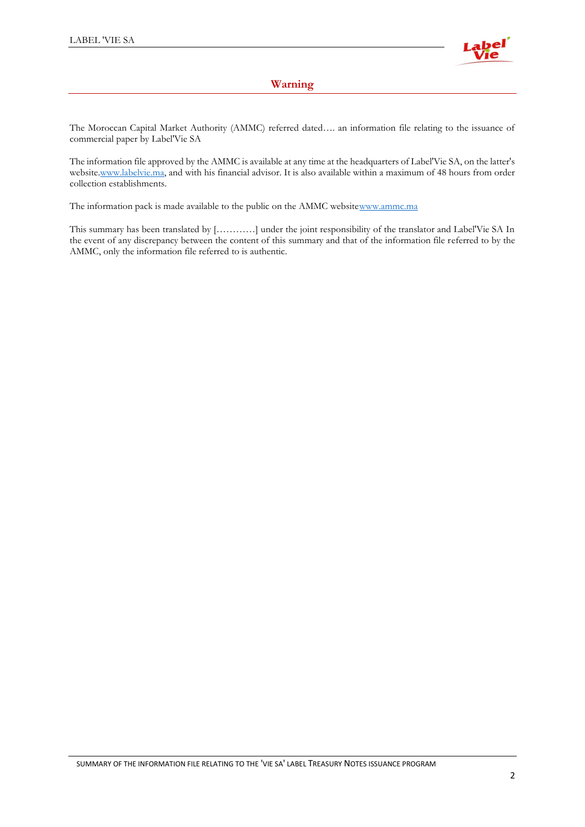

## **Warning**

<span id="page-1-0"></span>The Moroccan Capital Market Authority (AMMC) referred dated…. an information file relating to the issuance of commercial paper by Label'Vie SA

The information file approved by the AMMC is available at any time at the headquarters of Label'Vie SA, on the latter's website[.www.labelvie.ma,](http://www.labelvie.ma/) and with his financial advisor. It is also available within a maximum of 48 hours from order collection establishments.

The information pack is made available to the public on the AMMC websit[ewww.ammc.ma](http://www.ammc.ma/)

This summary has been translated by […………] under the joint responsibility of the translator and Label'Vie SA In the event of any discrepancy between the content of this summary and that of the information file referred to by the AMMC, only the information file referred to is authentic.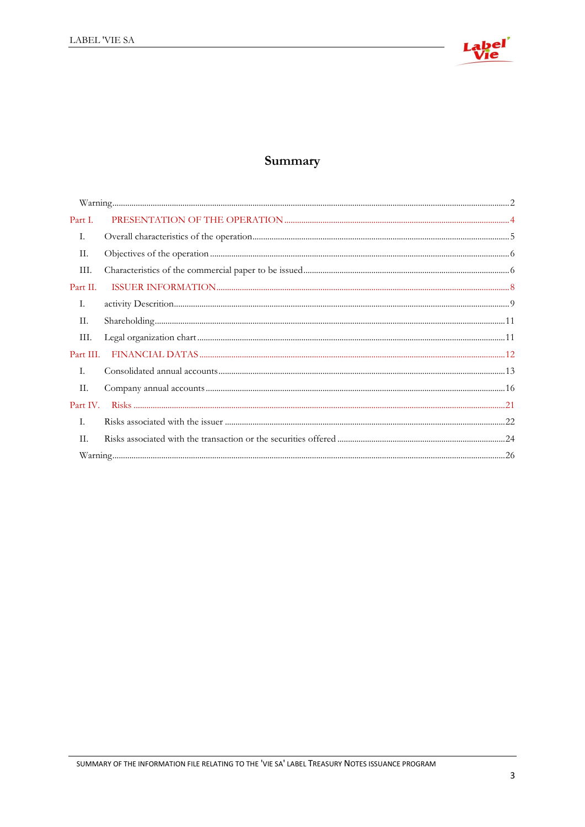

# Summary

| Part I.   |  |
|-----------|--|
| Ι.        |  |
| П.        |  |
| Ш.        |  |
| Part II.  |  |
| Ι.        |  |
| П.        |  |
| III.      |  |
| Part III. |  |
| I.        |  |
| П.        |  |
| Part IV.  |  |
| I.        |  |
| H.        |  |
|           |  |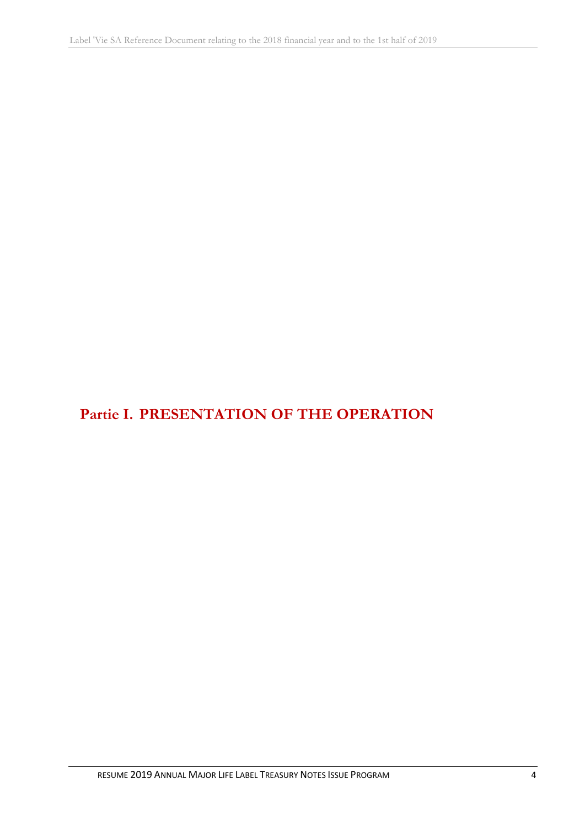# <span id="page-3-0"></span>**Partie I. PRESENTATION OF THE OPERATION**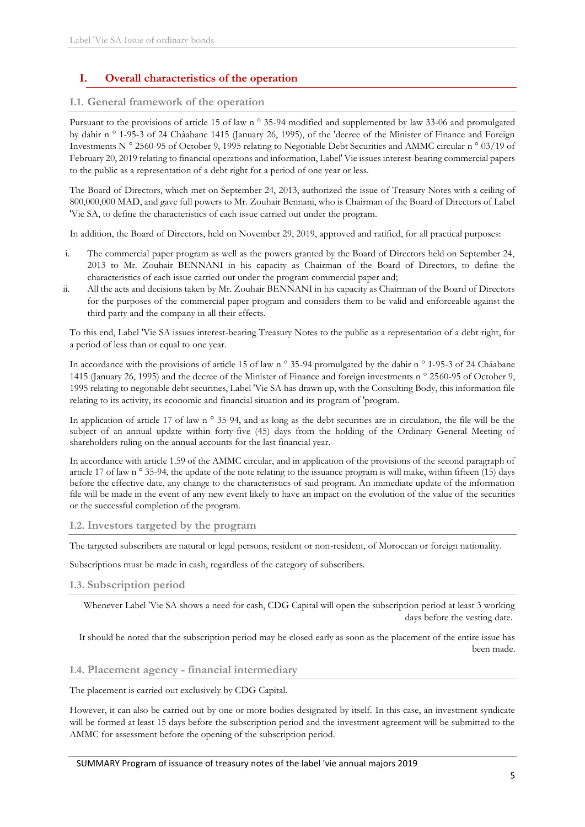## <span id="page-4-0"></span>**I. Overall characteristics of the operation**

#### **I.1. General framework of the operation**

Pursuant to the provisions of article 15 of law n ° 35-94 modified and supplemented by law 33-06 and promulgated by dahir n ° 1-95-3 of 24 Châabane 1415 (January 26, 1995), of the 'decree of the Minister of Finance and Foreign Investments N ° 2560-95 of October 9, 1995 relating to Negotiable Debt Securities and AMMC circular n ° 03/19 of February 20, 2019 relating to financial operations and information, Label' Vie issues interest-bearing commercial papers to the public as a representation of a debt right for a period of one year or less.

The Board of Directors, which met on September 24, 2013, authorized the issue of Treasury Notes with a ceiling of 800,000,000 MAD, and gave full powers to Mr. Zouhair Bennani, who is Chairman of the Board of Directors of Label 'Vie SA, to define the characteristics of each issue carried out under the program.

In addition, the Board of Directors, held on November 29, 2019, approved and ratified, for all practical purposes:

- i. The commercial paper program as well as the powers granted by the Board of Directors held on September 24, 2013 to Mr. Zouhair BENNANI in his capacity as Chairman of the Board of Directors, to define the characteristics of each issue carried out under the program commercial paper and;
- ii. All the acts and decisions taken by Mr. Zouhair BENNANI in his capacity as Chairman of the Board of Directors for the purposes of the commercial paper program and considers them to be valid and enforceable against the third party and the company in all their effects.

To this end, Label 'Vie SA issues interest-bearing Treasury Notes to the public as a representation of a debt right, for a period of less than or equal to one year.

In accordance with the provisions of article 15 of law n ° 35-94 promulgated by the dahir n ° 1-95-3 of 24 Châabane 1415 (January 26, 1995) and the decree of the Minister of Finance and foreign investments n ° 2560-95 of October 9, 1995 relating to negotiable debt securities, Label 'Vie SA has drawn up, with the Consulting Body, this information file relating to its activity, its economic and financial situation and its program of 'program.

In application of article 17 of law n  $\degree$  35-94, and as long as the debt securities are in circulation, the file will be the subject of an annual update within forty-five (45) days from the holding of the Ordinary General Meeting of shareholders ruling on the annual accounts for the last financial year.

In accordance with article 1.59 of the AMMC circular, and in application of the provisions of the second paragraph of article 17 of law n ° 35-94, the update of the note relating to the issuance program is will make, within fifteen (15) days before the effective date, any change to the characteristics of said program. An immediate update of the information file will be made in the event of any new event likely to have an impact on the evolution of the value of the securities or the successful completion of the program.

#### **I.2. Investors targeted by the program**

The targeted subscribers are natural or legal persons, resident or non-resident, of Moroccan or foreign nationality.

Subscriptions must be made in cash, regardless of the category of subscribers.

#### **I.3. Subscription period**

Whenever Label 'Vie SA shows a need for cash, CDG Capital will open the subscription period at least 3 working days before the vesting date.

It should be noted that the subscription period may be closed early as soon as the placement of the entire issue has been made.

#### **I.4. Placement agency - financial intermediary**

The placement is carried out exclusively by CDG Capital.

However, it can also be carried out by one or more bodies designated by itself. In this case, an investment syndicate will be formed at least 15 days before the subscription period and the investment agreement will be submitted to the AMMC for assessment before the opening of the subscription period.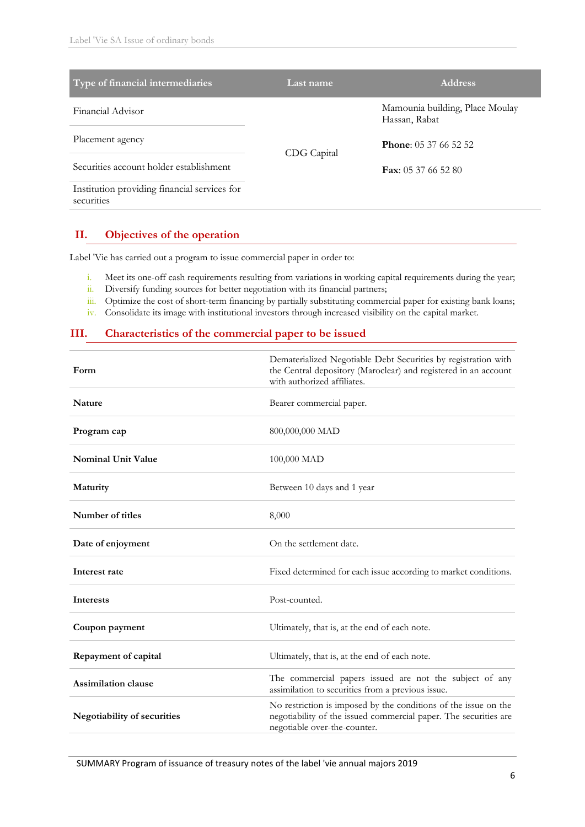| Type of financial intermediaries                           | <b>Address</b><br>Last name |                                                  |  |  |  |
|------------------------------------------------------------|-----------------------------|--------------------------------------------------|--|--|--|
| Financial Advisor                                          |                             | Mamounia building, Place Moulay<br>Hassan, Rabat |  |  |  |
| Placement agency                                           | CDG Capital                 | <b>Phone:</b> 05.37.66.52.52                     |  |  |  |
| Securities account holder establishment                    |                             | <b>Fax:</b> 05.37.66.52.80                       |  |  |  |
| Institution providing financial services for<br>securities |                             |                                                  |  |  |  |

### <span id="page-5-0"></span>**II. Objectives of the operation**

Label 'Vie has carried out a program to issue commercial paper in order to:

- i. Meet its one-off cash requirements resulting from variations in working capital requirements during the year;
- ii. Diversify funding sources for better negotiation with its financial partners;
- iii. Optimize the cost of short-term financing by partially substituting commercial paper for existing bank loans;
- iv. Consolidate its image with institutional investors through increased visibility on the capital market.

### <span id="page-5-1"></span>**III. Characteristics of the commercial paper to be issued**

| Form                        | Dematerialized Negotiable Debt Securities by registration with<br>the Central depository (Maroclear) and registered in an account<br>with authorized affiliates.    |
|-----------------------------|---------------------------------------------------------------------------------------------------------------------------------------------------------------------|
| <b>Nature</b>               | Bearer commercial paper.                                                                                                                                            |
| Program cap                 | 800,000,000 MAD                                                                                                                                                     |
| <b>Nominal Unit Value</b>   | 100,000 MAD                                                                                                                                                         |
| Maturity                    | Between 10 days and 1 year                                                                                                                                          |
| Number of titles            | 8,000                                                                                                                                                               |
| Date of enjoyment           | On the settlement date.                                                                                                                                             |
| Interest rate               | Fixed determined for each issue according to market conditions.                                                                                                     |
| <b>Interests</b>            | Post-counted.                                                                                                                                                       |
| Coupon payment              | Ultimately, that is, at the end of each note.                                                                                                                       |
| Repayment of capital        | Ultimately, that is, at the end of each note.                                                                                                                       |
| <b>Assimilation clause</b>  | The commercial papers issued are not the subject of any<br>assimilation to securities from a previous issue.                                                        |
| Negotiability of securities | No restriction is imposed by the conditions of the issue on the<br>negotiability of the issued commercial paper. The securities are<br>negotiable over-the-counter. |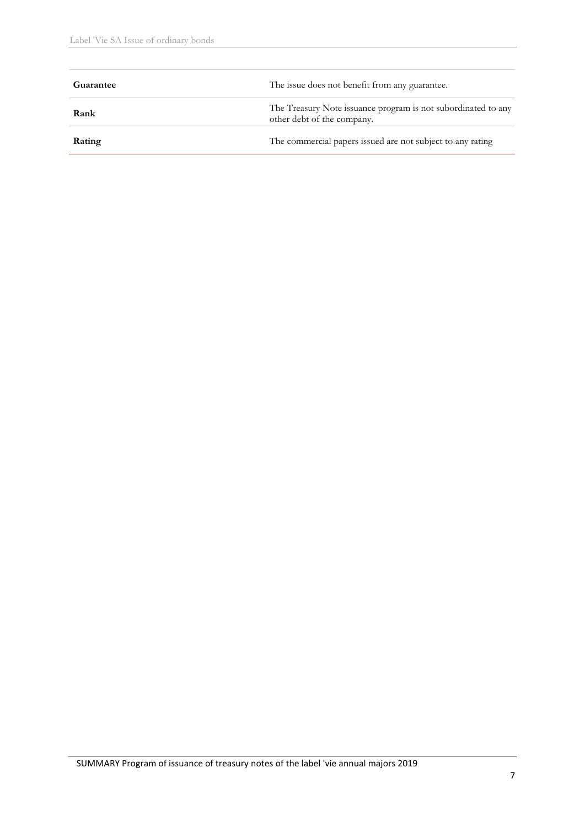| Guarantee | The issue does not benefit from any guarantee.                                              |
|-----------|---------------------------------------------------------------------------------------------|
| Rank      | The Treasury Note issuance program is not subordinated to any<br>other debt of the company. |
| Rating    | The commercial papers issued are not subject to any rating                                  |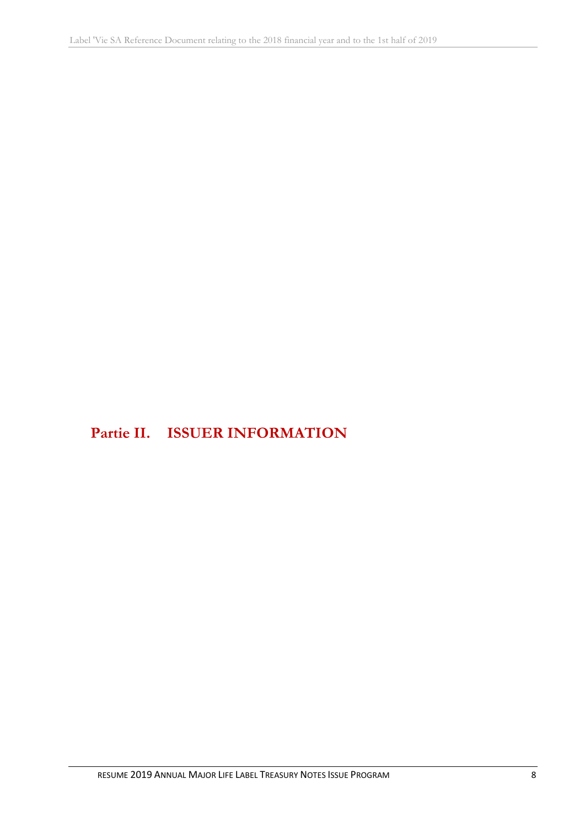<span id="page-7-0"></span>**Partie II. ISSUER INFORMATION**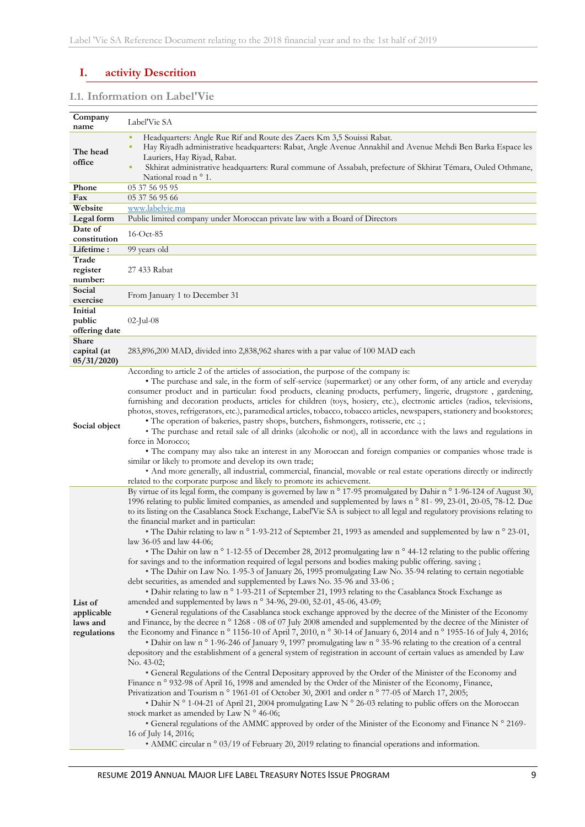# <span id="page-8-0"></span>**I. activity Descrition**

### **I.1. Information on Label'Vie**

| Company<br>name | Label'Vie SA                                                                                                                  |
|-----------------|-------------------------------------------------------------------------------------------------------------------------------|
|                 | Headquarters: Angle Rue Rif and Route des Zaers Km 3,5 Souissi Rabat.<br>×                                                    |
|                 | Hay Riyadh administrative headquarters: Rabat, Angle Avenue Annakhil and Avenue Mehdi Ben Barka Espace les                    |
| The head        |                                                                                                                               |
| office          | Lauriers, Hay Riyad, Rabat.                                                                                                   |
|                 | Skhirat administrative headquarters: Rural commune of Assabah, prefecture of Skhirat Témara, Ouled Othmane,                   |
|                 | National road n ° 1.                                                                                                          |
| Phone           | 05 37 56 95 95                                                                                                                |
| Fax             | 05 37 56 95 66                                                                                                                |
| Website         | www.labelvie.ma                                                                                                               |
| Legal form      | Public limited company under Moroccan private law with a Board of Directors                                                   |
| Date of         | 16-Oct-85                                                                                                                     |
| constitution    |                                                                                                                               |
| Lifetime:       | 99 years old                                                                                                                  |
| Trade           |                                                                                                                               |
| register        | 27 433 Rabat                                                                                                                  |
| number:         |                                                                                                                               |
| Social          |                                                                                                                               |
| exercise        | From January 1 to December 31                                                                                                 |
| Initial         |                                                                                                                               |
| public          | $02$ -Jul-08                                                                                                                  |
| offering date   |                                                                                                                               |
| <b>Share</b>    |                                                                                                                               |
| capital (at     | 283,896,200 MAD, divided into 2,838,962 shares with a par value of 100 MAD each                                               |
| 05/31/2020      |                                                                                                                               |
|                 | According to article 2 of the articles of association, the purpose of the company is:                                         |
|                 | • The purchase and sale, in the form of self-service (supermarket) or any other form, of any article and everyday             |
|                 | consumer product and in particular: food products, cleaning products, perfumery, lingerie, drugstore, gardening,              |
|                 | furnishing and decoration products, articles for children (toys, hosiery, etc.), electronic articles (radios, televisions,    |
|                 | photos, stoves, refrigerators, etc.), paramedical articles, tobacco, tobacco articles, newspapers, stationery and bookstores; |
|                 | · The operation of bakeries, pastry shops, butchers, fishmongers, rotisserie, etc .; ;                                        |
| Social object   | • The purchase and retail sale of all drinks (alcoholic or not), all in accordance with the laws and regulations in           |
|                 | force in Morocco;                                                                                                             |
|                 | • The company may also take an interest in any Moroccan and foreign companies or companies whose trade is                     |
|                 | similar or likely to promote and develop its own trade;                                                                       |
|                 | • And more generally, all industrial, commercial, financial, movable or real estate operations directly or indirectly         |
|                 | related to the corporate purpose and likely to promote its achievement.                                                       |
|                 | By virtue of its legal form, the company is governed by law n ° 17-95 promulgated by Dahir n ° 1-96-124 of August 30,         |
|                 | 1996 relating to public limited companies, as amended and supplemented by laws n ° 81- 99, 23-01, 20-05, 78-12. Due           |
|                 | to its listing on the Casablanca Stock Exchange, Label'Vie SA is subject to all legal and regulatory provisions relating to   |
|                 | the financial market and in particular:                                                                                       |
|                 | • The Dahir relating to law n ° 1-93-212 of September 21, 1993 as amended and supplemented by law n ° 23-01,                  |
|                 | law 36-05 and law 44-06;                                                                                                      |
|                 | • The Dahir on law n ° 1-12-55 of December 28, 2012 promulgating law n ° 44-12 relating to the public offering                |
|                 | for savings and to the information required of legal persons and bodies making public offering. saving;                       |
|                 | • The Dahir on Law No. 1-95-3 of January 26, 1995 promulgating Law No. 35-94 relating to certain negotiable                   |
|                 | debt securities, as amended and supplemented by Laws No. 35-96 and 33-06;                                                     |
|                 | • Dahir relating to law n ° 1-93-211 of September 21, 1993 relating to the Casablanca Stock Exchange as                       |
| List of         | amended and supplemented by laws n ° 34-96, 29-00, 52-01, 45-06, 43-09;                                                       |
| applicable      | • General regulations of the Casablanca stock exchange approved by the decree of the Minister of the Economy                  |
| laws and        | and Finance, by the decree n ° 1268 - 08 of 07 July 2008 amended and supplemented by the decree of the Minister of            |
| regulations     | the Economy and Finance n ° 1156-10 of April 7, 2010, n ° 30-14 of January 6, 2014 and n ° 1955-16 of July 4, 2016;           |
|                 | • Dahir on law n ° 1-96-246 of January 9, 1997 promulgating law n ° 35-96 relating to the creation of a central               |
|                 | depository and the establishment of a general system of registration in account of certain values as amended by Law           |
|                 | No. 43-02;                                                                                                                    |
|                 | • General Regulations of the Central Depositary approved by the Order of the Minister of the Economy and                      |
|                 | Finance n ° 932-98 of April 16, 1998 and amended by the Order of the Minister of the Economy, Finance,                        |
|                 | Privatization and Tourism n ° 1961-01 of October 30, 2001 and order n ° 77-05 of March 17, 2005;                              |
|                 | • Dahir N ° 1-04-21 of April 21, 2004 promulgating Law N ° 26-03 relating to public offers on the Moroccan                    |
|                 | stock market as amended by Law N ° 46-06;                                                                                     |
|                 | • General regulations of the AMMC approved by order of the Minister of the Economy and Finance N° 2169-                       |
|                 | 16 of July 14, 2016;                                                                                                          |
|                 | • AMMC circular n ° 03/19 of February 20, 2019 relating to financial operations and information.                              |
|                 |                                                                                                                               |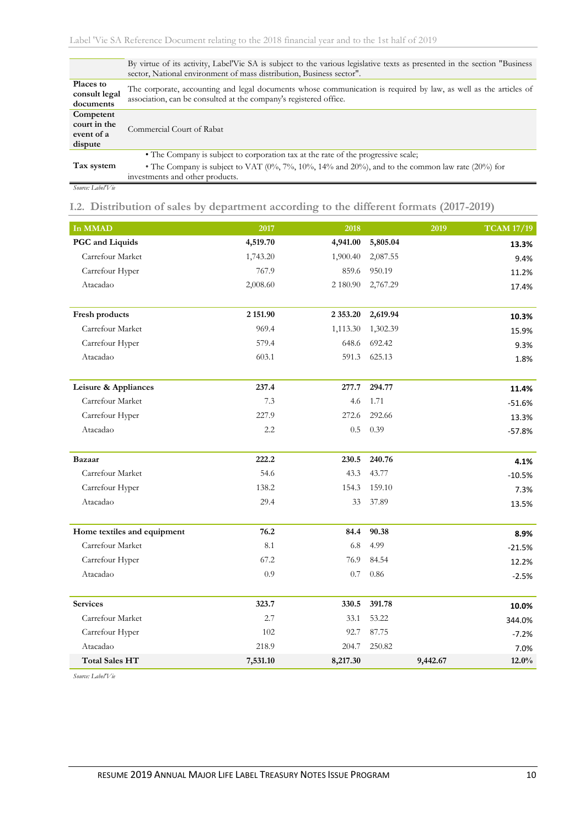|                                                    | By virtue of its activity, Label'Vie SA is subject to the various legislative texts as presented in the section "Business"<br>sector, National environment of mass distribution, Business sector".                                    |
|----------------------------------------------------|---------------------------------------------------------------------------------------------------------------------------------------------------------------------------------------------------------------------------------------|
| Places to<br>consult legal<br>documents            | The corporate, accounting and legal documents whose communication is required by law, as well as the articles of<br>association, can be consulted at the company's registered office.                                                 |
| Competent<br>court in the<br>event of a<br>dispute | Commercial Court of Rabat                                                                                                                                                                                                             |
| Tax system                                         | • The Company is subject to corporation tax at the rate of the progressive scale;<br>• The Company is subject to VAT $(0\%, 7\%, 10\%, 14\%$ and $20\%)$ , and to the common law rate $(20\%)$ for<br>investments and other products. |

*Source: Label'Vie*

**I.2. Distribution of sales by department according to the different formats (2017-2019)**

| In MMAD                     | 2017     | 2018         |          | 2019     | <b>TCAM 17/19</b> |
|-----------------------------|----------|--------------|----------|----------|-------------------|
| PGC and Liquids             | 4,519.70 | 4,941.00     | 5,805.04 |          | 13.3%             |
| Carrefour Market            | 1,743.20 | 1,900.40     | 2,087.55 |          | 9.4%              |
| Carrefour Hyper             | 767.9    | 859.6        | 950.19   |          | 11.2%             |
| Atacadao                    | 2,008.60 | 2 180.90     | 2,767.29 |          | 17.4%             |
| Fresh products              | 2 151.90 | 2 3 5 3 . 20 | 2,619.94 |          | 10.3%             |
| Carrefour Market            | 969.4    | 1,113.30     | 1,302.39 |          | 15.9%             |
| Carrefour Hyper             | 579.4    | 648.6        | 692.42   |          | 9.3%              |
| Atacadao                    | 603.1    | 591.3        | 625.13   |          | 1.8%              |
| Leisure & Appliances        | 237.4    | 277.7        | 294.77   |          | 11.4%             |
| Carrefour Market            | 7.3      | 4.6          | 1.71     |          | $-51.6%$          |
| Carrefour Hyper             | 227.9    | 272.6        | 292.66   |          | 13.3%             |
| Atacadao                    | 2.2      | 0.5          | 0.39     |          | $-57.8%$          |
| Bazaar                      | 222.2    | 230.5        | 240.76   |          | 4.1%              |
| Carrefour Market            | 54.6     | 43.3         | 43.77    |          | $-10.5%$          |
| Carrefour Hyper             | 138.2    | 154.3        | 159.10   |          | 7.3%              |
| Atacadao                    | 29.4     | 33           | 37.89    |          | 13.5%             |
| Home textiles and equipment | 76.2     | 84.4         | 90.38    |          | 8.9%              |
| Carrefour Market            | 8.1      | 6.8          | 4.99     |          | $-21.5%$          |
| Carrefour Hyper             | 67.2     | 76.9         | 84.54    |          | 12.2%             |
| Atacadao                    | 0.9      | 0.7          | 0.86     |          | $-2.5%$           |
| <b>Services</b>             | 323.7    | 330.5        | 391.78   |          | 10.0%             |
| Carrefour Market            | 2.7      | 33.1         | 53.22    |          | 344.0%            |
| Carrefour Hyper             | 102      | 92.7         | 87.75    |          | $-7.2%$           |
| Atacadao                    | 218.9    | 204.7        | 250.82   |          | 7.0%              |
| <b>Total Sales HT</b>       | 7,531.10 | 8,217.30     |          | 9,442.67 | 12.0%             |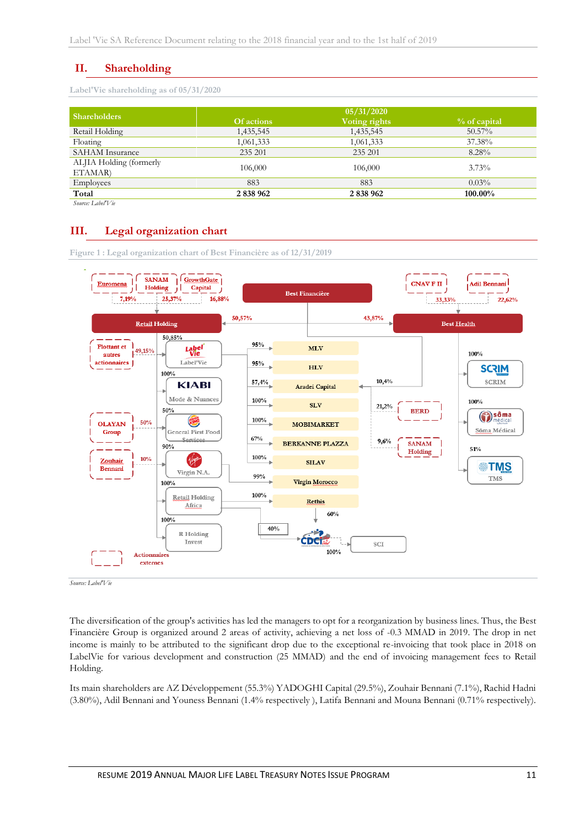## <span id="page-10-0"></span>**II. Shareholding**

**Label'Vie shareholding as of 05/31/2020**

| <b>Shareholders</b>     |            | 05/31/2020    |                |
|-------------------------|------------|---------------|----------------|
|                         | Of actions | Voting rights | $%$ of capital |
| Retail Holding          | 1,435,545  | 1,435,545     | $50.57\%$      |
| Floating                | 1,061,333  | 1,061,333     | 37.38%         |
| <b>SAHAM</b> Insurance  | 235 201    | 235 201       | 8.28%          |
| ALJIA Holding (formerly | 106,000    | 106,000       | $3.73\%$       |
| ETAMAR)                 |            |               |                |
| Employees               | 883        | 883           | $0.03\%$       |
| Total                   | 2 838 962  | 2 838 962     | 100.00%        |
| Source: Label'Vie       |            |               |                |

## <span id="page-10-1"></span>**III. Legal organization chart**



**Figure 1 : Legal organization chart of Best Financière as of 12/31/2019**

*Source: Label'Vie*

The diversification of the group's activities has led the managers to opt for a reorganization by business lines. Thus, the Best Financière Group is organized around 2 areas of activity, achieving a net loss of -0.3 MMAD in 2019. The drop in net income is mainly to be attributed to the significant drop due to the exceptional re-invoicing that took place in 2018 on LabelVie for various development and construction (25 MMAD) and the end of invoicing management fees to Retail Holding.

Its main shareholders are AZ Développement (55.3%) YADOGHI Capital (29.5%), Zouhair Bennani (7.1%), Rachid Hadni (3.80%), Adil Bennani and Youness Bennani (1.4% respectively ), Latifa Bennani and Mouna Bennani (0.71% respectively).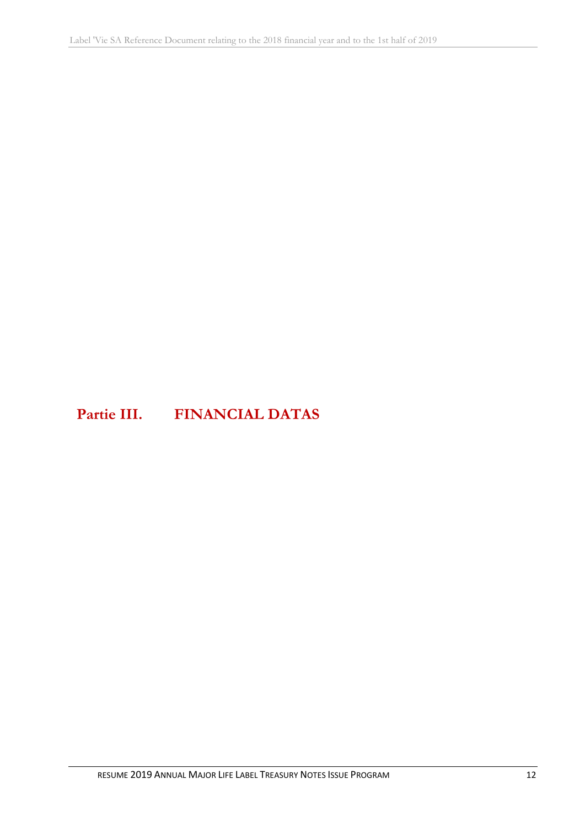# <span id="page-11-0"></span>**Partie III. FINANCIAL DATAS**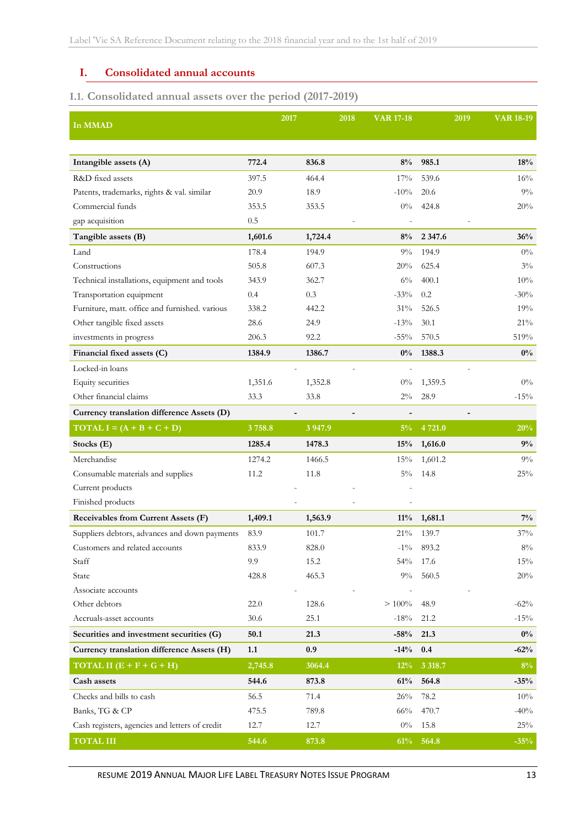### <span id="page-12-0"></span>**I. Consolidated annual accounts**

# **I.1. Consolidated annual assets over the period (2017-2019)**

| In MMAD                                        |          | 2017        | 2018           | <b>VAR 17-18</b> | 2019       | <b>VAR 18-19</b> |
|------------------------------------------------|----------|-------------|----------------|------------------|------------|------------------|
|                                                |          |             |                |                  |            |                  |
| Intangible assets (A)                          | 772.4    | 836.8       |                | 8%               | 985.1      | 18%              |
| R&D fixed assets                               | 397.5    | 464.4       |                | 17%              | 539.6      | 16%              |
| Patents, trademarks, rights & val. similar     | 20.9     | 18.9        |                | $-10%$           | 20.6       | 9%               |
| Commercial funds                               | 353.5    | 353.5       |                | $0\%$            | 424.8      | 20%              |
| gap acquisition                                | 0.5      |             |                |                  |            |                  |
| Tangible assets (B)                            | 1,601.6  | 1,724.4     |                | 8%               | 2 3 4 7 .6 | 36%              |
| Land                                           | 178.4    | 194.9       |                | $9\%$            | 194.9      | $0\%$            |
| Constructions                                  | 505.8    | 607.3       |                | 20%              | 625.4      | $3\%$            |
| Technical installations, equipment and tools   | 343.9    | 362.7       |                | $6\%$            | 400.1      | 10%              |
| Transportation equipment                       | 0.4      | 0.3         |                | $-33%$           | 0.2        | $-30%$           |
| Furniture, matt. office and furnished. various | 338.2    | 442.2       |                | 31%              | 526.5      | 19%              |
| Other tangible fixed assets                    | 28.6     | 24.9        |                | $-13%$           | 30.1       | 21%              |
| investments in progress                        | 206.3    | 92.2        |                | $-55\%$          | 570.5      | 519%             |
| Financial fixed assets (C)                     | 1384.9   | 1386.7      |                | $0\%$            | 1388.3     | $0\%$            |
| Locked-in loans                                |          |             | $\overline{a}$ |                  |            |                  |
| Equity securities                              | 1,351.6  | 1,352.8     |                | $0\%$            | 1,359.5    | $0\%$            |
| Other financial claims                         | 33.3     | 33.8        |                | $2\%$            | 28.9       | $-15%$           |
| Currency translation difference Assets (D)     |          |             |                |                  |            |                  |
| TOTAL $I = (A + B + C + D)$                    | 3758.8   | 3 9 4 7 . 9 |                | $5\%$            | 4 721.0    | 20%              |
| Stocks (E)                                     | 1285.4   | 1478.3      |                | 15%              | 1,616.0    | 9%               |
| Merchandise                                    | 1274.2   | 1466.5      |                | 15%              | 1,601.2    | $9\%$            |
| Consumable materials and supplies              | 11.2     | 11.8        |                | $5\%$            | 14.8       | 25%              |
| Current products                               |          |             |                |                  |            |                  |
| Finished products                              |          |             |                |                  |            |                  |
| Receivables from Current Assets (F)            | 1,409.1  | 1,563.9     |                | $11\%$           | 1,681.1    | $7\%$            |
| Suppliers debtors, advances and down payments  | 83.9     | 101.7       |                | 21%              | 139.7      | 37%              |
| Customers and related accounts                 | 833.9    | 828.0       |                | $-1\%$           | 893.2      | $8\%$            |
| Staff                                          | 9.9      | 15.2        |                | 54%              | 17.6       | 15%              |
| State                                          | 428.8    | 465.3       |                | $9\%$            | 560.5      | 20%              |
| Associate accounts                             |          |             |                |                  |            |                  |
| Other debtors                                  | 22.0     | 128.6       |                | $> 100\%$        | 48.9       | $-62\%$          |
| Accruals-asset accounts                        | 30.6     | 25.1        |                | $-18\%$          | 21.2       | $-15%$           |
| Securities and investment securities (G)       | $50.1\,$ | 21.3        |                | $-58%$           | 21.3       | $0\%$            |
| Currency translation difference Assets (H)     | 1.1      | 0.9         |                | $-14%$           | 0.4        | $-62%$           |
| TOTAL II $(E + F + G + H)$                     | 2,745.8  | 3064.4      |                | 12%              | 3 3 18.7   | $8\%$            |
| Cash assets                                    | 544.6    | 873.8       |                | 61%              | 564.8      | $-35%$           |
| Checks and bills to cash                       | 56.5     | 71.4        |                | $26\%$           | 78.2       | 10%              |
| Banks, TG & CP                                 | 475.5    | 789.8       |                | 66%              | 470.7      | $-40%$           |
| Cash registers, agencies and letters of credit | 12.7     | 12.7        |                | $0\%$            | 15.8       | 25%              |
| <b>TOTAL III</b>                               | 544.6    | 873.8       |                | 61%              | 564.8      | $-35%$           |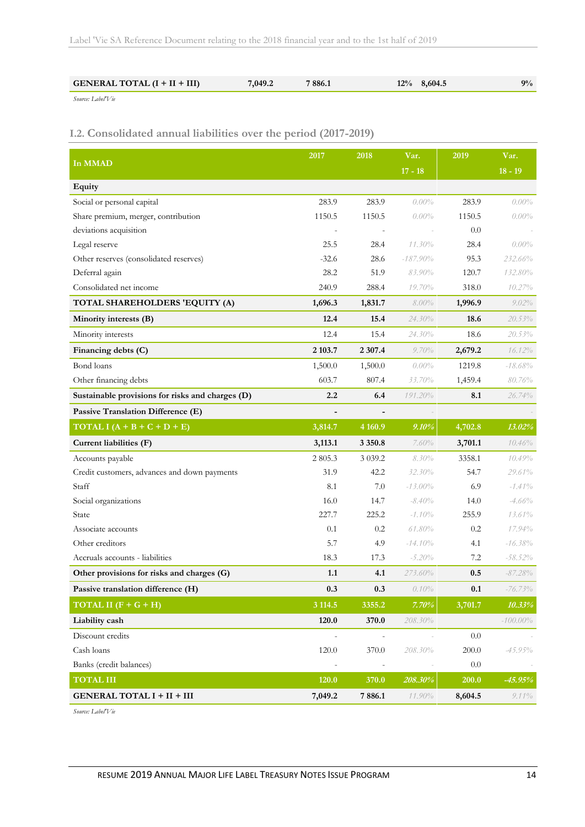| <b>GENERAL TOTAL (I + II + III)</b><br>7886.1<br>7,049.2<br>$12\%$ 8,604.5 | $9\%$ |
|----------------------------------------------------------------------------|-------|
|----------------------------------------------------------------------------|-------|

*Source: Label'Vie*

### **I.2. Consolidated annual liabilities over the period (2017-2019)**

|                                                  | 2017    | 2018                     | Var.        | 2019    | Var.        |
|--------------------------------------------------|---------|--------------------------|-------------|---------|-------------|
| In MMAD                                          |         |                          | $17 - 18$   |         | $18 - 19$   |
| Equity                                           |         |                          |             |         |             |
| Social or personal capital                       | 283.9   | 283.9                    | $0.00\%$    | 283.9   | $0.00\%$    |
| Share premium, merger, contribution              | 1150.5  | 1150.5                   | $0.00\%$    | 1150.5  | $0.00\%$    |
| deviations acquisition                           |         |                          |             | 0.0     |             |
| Legal reserve                                    | 25.5    | 28.4                     | $11.30\%$   | 28.4    | $0.00\%$    |
| Other reserves (consolidated reserves)           | $-32.6$ | 28.6                     | $-187.90\%$ | 95.3    | 232.66%     |
| Deferral again                                   | 28.2    | 51.9                     | 83.90%      | 120.7   | 132.80%     |
| Consolidated net income                          | 240.9   | 288.4                    | 19.70%      | 318.0   | 10.27%      |
| TOTAL SHAREHOLDERS 'EQUITY (A)                   | 1,696.3 | 1,831.7                  | $8.00\%$    | 1,996.9 | $9.02\%$    |
| Minority interests (B)                           | 12.4    | 15.4                     | $24.30\%$   | 18.6    | 20.53%      |
| Minority interests                               | 12.4    | 15.4                     | 24.30%      | 18.6    | 20.53%      |
| Financing debts (C)                              | 2 103.7 | 2 307.4                  | 9.70%       | 2,679.2 | $16.12\%$   |
| Bond loans                                       | 1,500.0 | 1,500.0                  | $0.00\%$    | 1219.8  | $-18.68%$   |
| Other financing debts                            | 603.7   | 807.4                    | 33.70%      | 1,459.4 | 80.76%      |
| Sustainable provisions for risks and charges (D) | 2.2     | 6.4                      | 191.20%     | 8.1     | $26.74\%$   |
| Passive Translation Difference (E)               |         |                          |             |         |             |
| TOTAL I $(A + B + C + D + E)$                    | 3,814.7 | 4 1 6 0.9                | 9.10%       | 4,702.8 | 13.02%      |
| Current liabilities (F)                          | 3,113.1 | 3 3 5 0 . 8              | 7.60%       | 3,701.1 | 10.46%      |
| Accounts payable                                 | 2 805.3 | 3 0 3 9.2                | $8.30\%$    | 3358.1  | 10.49%      |
| Credit customers, advances and down payments     | 31.9    | 42.2                     | $32.30\%$   | 54.7    | 29.61%      |
| Staff                                            | 8.1     | 7.0                      | $-13.00\%$  | 6.9     | $-1.41\%$   |
| Social organizations                             | 16.0    | 14.7                     | $-8.40\%$   | 14.0    | $-4.66%$    |
| State                                            | 227.7   | 225.2                    | $-1.10\%$   | 255.9   | 13.61%      |
| Associate accounts                               | 0.1     | 0.2                      | $61.80\%$   | 0.2     | 17.94%      |
| Other creditors                                  | 5.7     | 4.9                      | $-14.10\%$  | 4.1     | $-16.38%$   |
| Accruals accounts - liabilities                  | 18.3    | 17.3                     | $-5.20%$    | 7.2     | $-58.52%$   |
| Other provisions for risks and charges (G)       | 1.1     | 4.1                      | 273.60%     | 0.5     | $-87.28%$   |
| Passive translation difference (H)               | 0.3     | 0.3                      | 0.10%       | 0.1     | $-76.73\%$  |
| TOTAL II $(F + G + H)$                           | 3 114.5 | 3355.2                   | 7.70%       | 3,701.7 | 10.33%      |
| Liability cash                                   | 120.0   | 370.0                    | 208.30%     |         | $-100.00\%$ |
| Discount credits                                 |         | $\overline{\phantom{a}}$ |             | 0.0     |             |
| Cash loans                                       | 120.0   | 370.0                    | 208.30%     | 200.0   | $-45.95\%$  |
| Banks (credit balances)                          |         |                          |             | 0.0     |             |
| <b>TOTAL III</b>                                 | 120.0   | 370.0                    | 208.30%     | 200.0   | $-45.95%$   |
| <b>GENERAL TOTAL I + II + III</b>                | 7,049.2 | 7886.1                   | 11.90%      | 8,604.5 | $9.11\%$    |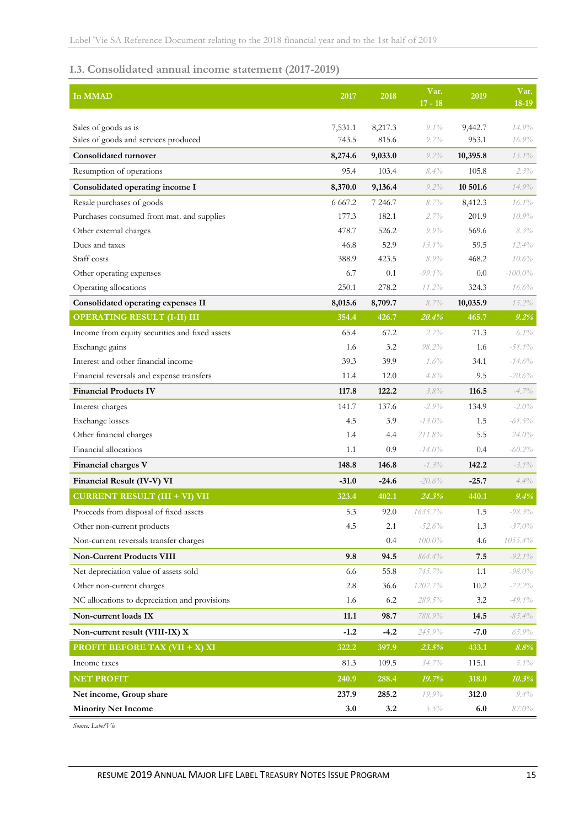### **I.3. Consolidated annual income statement (2017-2019)**

| In MMAD                                                      | 2017             | 2018             | Var.<br>$17 - 18$  | 2019             | Var.<br>18-19  |
|--------------------------------------------------------------|------------------|------------------|--------------------|------------------|----------------|
|                                                              |                  |                  |                    |                  |                |
| Sales of goods as is<br>Sales of goods and services produced | 7,531.1<br>743.5 | 8,217.3<br>815.6 | $9.1\%$<br>$9.7\%$ | 9,442.7<br>953.1 | 14.9%<br>16.9% |
| <b>Consolidated turnover</b>                                 | 8,274.6          | 9,033.0          | $9.2\%$            | 10,395.8         | $15.1\%$       |
| Resumption of operations                                     | 95.4             | 103.4            | $8.4\%$            | 105.8            | $2.3\%$        |
| Consolidated operating income I                              | 8,370.0          | 9,136.4          | $9.2\%$            | 10 501.6         | 14.9%          |
| Resale purchases of goods                                    | 6 6 6 7.2        | 7 246.7          | 8.7%               | 8,412.3          | 16.1%          |
| Purchases consumed from mat. and supplies                    | 177.3            | 182.1            | 2.7%               | 201.9            | 10.9%          |
| Other external charges                                       | 478.7            | 526.2            | $9.9\%$            | 569.6            | $8.3\%$        |
| Dues and taxes                                               | 46.8             | 52.9             | $13.1\%$           | 59.5             | $12.4\%$       |
| Staff costs                                                  | 388.9            | 423.5            | 8.9%               | 468.2            | 10.6%          |
| Other operating expenses                                     | 6.7              | 0.1              | $-99.1\%$          | 0.0              | $-100.0\%$     |
| Operating allocations                                        | 250.1            | 278.2            | 11.2%              | 324.3            | 16.6%          |
| Consolidated operating expenses II                           | 8,015.6          | 8,709.7          | 8.7%               | 10,035.9         | $15.2\%$       |
| <b>OPERATING RESULT (I-II) III</b>                           | 354.4            | 426.7            | 20.4%              | 465.7            | 9.2%           |
| Income from equity securities and fixed assets               | 65.4             | 67.2             | $2.7\%$            | 71.3             | $6.1\%$        |
| Exchange gains                                               | 1.6              | 3.2              | 98.2%              | 1.6              | $-51.1\%$      |
| Interest and other financial income                          | 39.3             | 39.9             | 1.6%               | 34.1             | $-14.6%$       |
| Financial reversals and expense transfers                    | 11.4             | 12.0             | 4.8%               | 9.5              | $-20.6%$       |
| <b>Financial Products IV</b>                                 | 117.8            | 122.2            | 3.8%               | 116.5            | $-4.7\%$       |
| Interest charges                                             | 141.7            | 137.6            | $-2.9\%$           | 134.9            | $-2.0\%$       |
| Exchange losses                                              | 4.5              | 3.9              | $-13.0\%$          | 1.5              | $-61.5\%$      |
| Other financial charges                                      | 1.4              | 4.4              | 211.8%             | 5.5              | $24.0\%$       |
| Financial allocations                                        | 1.1              | 0.9              | $-14.0\%$          | 0.4              | $-60.2\%$      |
| Financial charges V                                          | 148.8            | 146.8            | $-1.3\%$           | 142.2            | $-3.1\%$       |
| Financial Result (IV-V) VI                                   | $-31.0$          | $-24.6$          | $-20.6%$           | $-25.7$          | 4.4%           |
| <b>CURRENT RESULT (III + VI) VII</b>                         | 323.4            | 402.1            | 24.3%              | 440.1            | 9.4%           |
| Proceeds from disposal of fixed assets                       | 5.3              | 92.0             | 1635.7%            | 1.5              | $-98.3\%$      |
| Other non-current products                                   | 4.5              | 2.1              | $-52.6%$           | 1.3              | $-37.0\%$      |
| Non-current reversals transfer charges                       |                  | 0.4              | $100.0\%$          | 4.6              | $1055.4\%$     |
| <b>Non-Current Products VIII</b>                             | 9.8              | 94.5             | 864.4%             | 7.5              | $-92.1\%$      |
| Net depreciation value of assets sold                        | 6.6              | 55.8             | 745.7%             | 1.1              | $-98.0\%$      |
| Other non-current charges                                    | $2.8\,$          | 36.6             | 1207.7%            | 10.2             | $-72.2\%$      |
| NC allocations to depreciation and provisions                | 1.6              | 6.2              | 289.5%             | 3.2              | -49.1%         |
| Non-current loads IX                                         | 11.1             | 98.7             | $788.9\%$          | 14.5             | $-85.4\%$      |
| Non-current result (VIII-IX) X                               | $-1.2$           | $-4.2$           | 245.9%             | $-7.0$           | $65.9\%$       |
| <b>PROFIT BEFORE TAX (VII + X) XI</b>                        | 322.2            | 397.9            | 23.5%              | 433.1            | 8.8%           |
| Income taxes                                                 | 81.3             | 109.5            | 34.7%              | 115.1            | $5.1\%$        |
| <b>NET PROFIT</b>                                            | 240.9            | 288.4            | 19.7%              | 318.0            | 10.3%          |
| Net income, Group share                                      | 237.9            | 285.2            | $19.9\%$           | 312.0            | $9.4\%$        |
| <b>Minority Net Income</b>                                   | 3.0              | 3.2              | $5.5\%$            | 6.0              | 87.0%          |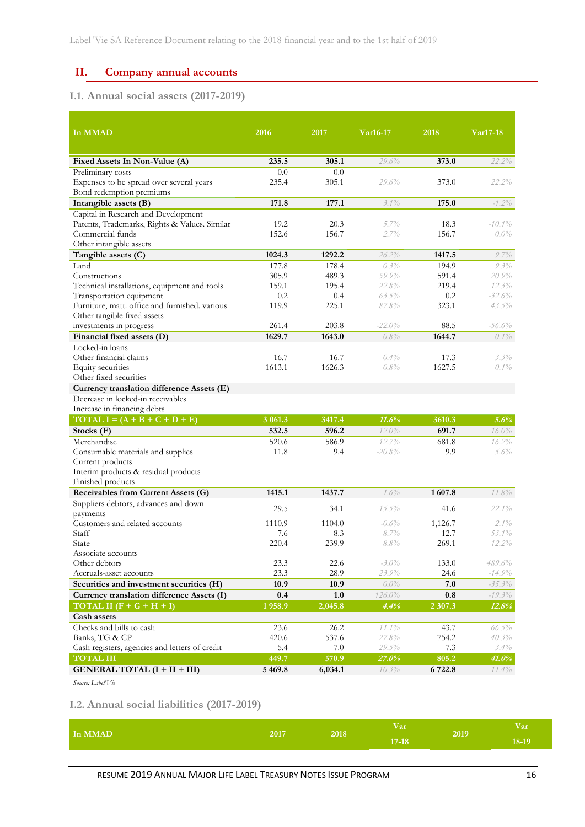# <span id="page-15-0"></span>**II. Company annual accounts**

# **I.1. Annual social assets (2017-2019)**

| In MMAD                                                                    | 2016         | 2017         | Var16-17       | 2018         | Var17-18          |
|----------------------------------------------------------------------------|--------------|--------------|----------------|--------------|-------------------|
|                                                                            |              |              |                |              |                   |
| Fixed Assets In Non-Value (A)                                              | 235.5        | 305.1        | 29.6%          | 373.0        | 22.2%             |
| Preliminary costs                                                          | 0.0          | 0.0          |                |              |                   |
| Expenses to be spread over several years                                   | 235.4        | 305.1        | 29.6%          | 373.0        | 22.2%             |
| Bond redemption premiums                                                   |              |              |                |              |                   |
| Intangible assets (B)                                                      | 171.8        | 177.1        | $3.1\%$        | 175.0        | $-1.2\%$          |
| Capital in Research and Development                                        |              |              |                |              |                   |
| Patents, Trademarks, Rights & Values. Similar                              | 19.2         | 20.3         | $5.7\%$        | 18.3         | $-10.1\%$         |
| Commercial funds                                                           | 152.6        | 156.7        | 2.7%           | 156.7        | $0.0\%$           |
| Other intangible assets                                                    |              |              |                |              |                   |
| Tangible assets (C)                                                        | 1024.3       | 1292.2       | 26.2%          | 1417.5       | $9.7\%$           |
| Land                                                                       | 177.8        | 178.4        | $0.3\%$        | 194.9        | 9.3%              |
| Constructions                                                              | 305.9        | 489.3        | 59.9%          | 591.4        | 20.9%             |
| Technical installations, equipment and tools                               | 159.1        | 195.4        | 22.8%          | 219.4        | 12.3%             |
| Transportation equipment<br>Furniture, matt. office and furnished. various | 0.2          | 0.4<br>225.1 | $63.5\%$       | 0.2          | $-32.6%$          |
| Other tangible fixed assets                                                | 119.9        |              | 87.8%          | 323.1        | $43.5\%$          |
| investments in progress                                                    | 261.4        | 203.8        | $-22.0%$       | 88.5         | -56.6%            |
| Financial fixed assets (D)                                                 | 1629.7       | 1643.0       | 0.8%           | 1644.7       | $0.1\%$           |
| Locked-in loans                                                            |              |              |                |              |                   |
| Other financial claims                                                     | 16.7         | 16.7         | $0.4\%$        | 17.3         | 3.3%              |
| Equity securities                                                          | 1613.1       | 1626.3       | 0.8%           | 1627.5       | $0.1\%$           |
| Other fixed securities                                                     |              |              |                |              |                   |
| Currency translation difference Assets (E)                                 |              |              |                |              |                   |
| Decrease in locked-in receivables                                          |              |              |                |              |                   |
| Increase in financing debts                                                |              |              |                |              |                   |
| $\text{TOTAL I} = (\text{A} + \text{B} + \text{C} + \text{D} + \text{E})$  | 3 061.3      | 3417.4       | 11.6%          | 3610.3       | 5.6%              |
| Stocks $(F)$                                                               | 532.5        | 596.2        | 12.0%          | 691.7        | 16.0%             |
| Merchandise                                                                | 520.6        | 586.9        | 12.7%          | 681.8        | 16.2%             |
| Consumable materials and supplies                                          | 11.8         | 9.4          | $-20.8%$       | 9.9          | 5.6%              |
| Current products                                                           |              |              |                |              |                   |
| Interim products & residual products                                       |              |              |                |              |                   |
| Finished products                                                          |              |              |                |              |                   |
| Receivables from Current Assets (G)                                        | 1415.1       | 1437.7       | 1.6%           | 1607.8       | 11.8%             |
| Suppliers debtors, advances and down                                       | 29.5         | 34.1         | $15.5\%$       | 41.6         | $22.1\%$          |
| payments                                                                   |              |              |                |              |                   |
| Customers and related accounts                                             | 1110.9       | 1104.0       | $-0.6\%$       | 1,126.7      | $2.1\%$           |
| Staff                                                                      | 7.6          | 8.3          | 8.7%<br>8.8%   | 12.7         | $53.1\%$<br>12.2% |
| State                                                                      | 220.4        | 239.9        |                | 269.1        |                   |
| Associate accounts<br>Other debtors                                        | 23.3         | 22.6         | $-3.0\%$       | 133.0        | 489.6%            |
| Accruals-asset accounts                                                    | 23.3         | 28.9         | 23.9%          | 24.6         | $-14.9%$          |
| Securities and investment securities (H)                                   | 10.9         | 10.9         | $0.0\%$        | 7.0          | $-35.3\%$         |
| Currency translation difference Assets (I)                                 | 0.4          | 1.0          | 126.0%         | 0.8          | $-19.3\%$         |
| TOTAL II $(F + G + H + I)$                                                 | 1958.9       | 2,045.8      | 4.4%           | 2 307.3      | 12.8%             |
| Cash assets                                                                |              |              |                |              |                   |
| Checks and bills to cash                                                   | 23.6         | 26.2         | 11.1%          | 43.7         | 66.5%             |
|                                                                            |              | 537.6        |                |              | 40.3%             |
| Banks, TG & CP<br>Cash registers, agencies and letters of credit           | 420.6<br>5.4 | 7.0          | 27.8%<br>29.5% | 754.2<br>7.3 | 3.4%              |
| <b>TOTAL III</b>                                                           | 449.7        | 570.9        |                |              |                   |
|                                                                            |              |              | 27.0%          | 805.2        | 41.0%             |
| <b>GENERAL TOTAL (I + II + III)</b>                                        | 5 4 6 9.8    | 6,034.1      | 10.3%          | 6 722.8      | $11.4\%$          |

*Source: Label'Vie*

## **I.2. Annual social liabilities (2017-2019)**

| In MMAD | 2017 | 2018 | / ar      | 2019 | V ar  |
|---------|------|------|-----------|------|-------|
|         |      |      | $17 - 18$ |      | 18-19 |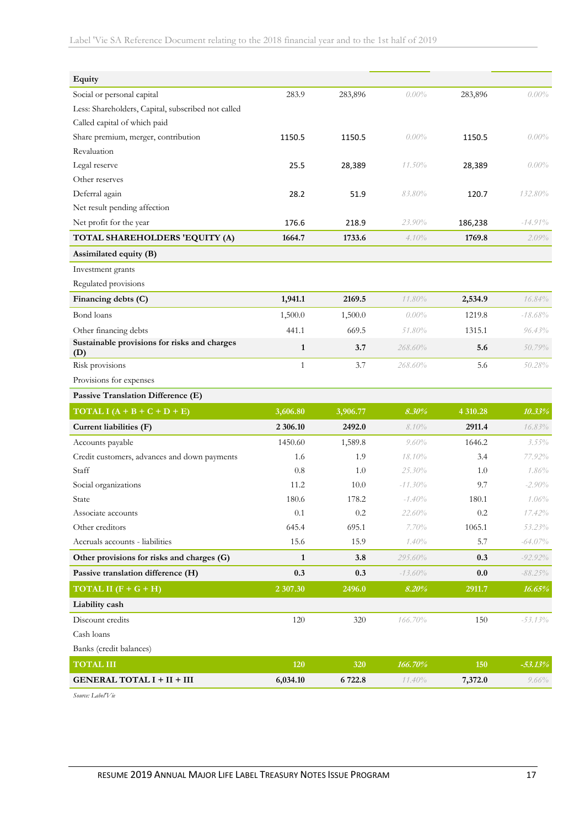| Equity                                              |              |          |            |          |            |
|-----------------------------------------------------|--------------|----------|------------|----------|------------|
| Social or personal capital                          | 283.9        | 283,896  | $0.00\%$   | 283,896  | $0.00\%$   |
| Less: Shareholders, Capital, subscribed not called  |              |          |            |          |            |
| Called capital of which paid                        |              |          |            |          |            |
| Share premium, merger, contribution                 | 1150.5       | 1150.5   | $0.00\%$   | 1150.5   | $0.00\%$   |
| Revaluation                                         |              |          |            |          |            |
| Legal reserve                                       | 25.5         | 28,389   | 11.50%     | 28,389   | $0.00\%$   |
| Other reserves                                      |              |          |            |          |            |
| Deferral again                                      | 28.2         | 51.9     | 83.80%     | 120.7    | 132.80%    |
| Net result pending affection                        |              |          |            |          |            |
| Net profit for the year                             | 176.6        | 218.9    | 23.90%     | 186,238  | $-14.91\%$ |
| TOTAL SHAREHOLDERS 'EQUITY (A)                      | 1664.7       | 1733.6   | 4.10%      | 1769.8   | 2.09%      |
| Assimilated equity (B)                              |              |          |            |          |            |
| Investment grants                                   |              |          |            |          |            |
| Regulated provisions                                |              |          |            |          |            |
| Financing debts (C)                                 | 1,941.1      | 2169.5   | 11.80%     | 2,534.9  | 16.84%     |
| Bond loans                                          | 1,500.0      | 1,500.0  | $0.00\%$   | 1219.8   | $-18.68\%$ |
| Other financing debts                               | 441.1        | 669.5    | 51.80%     | 1315.1   | $96.43\%$  |
| Sustainable provisions for risks and charges<br>(D) | $\mathbf{1}$ | 3.7      | 268.60%    | 5.6      | 50.79%     |
| Risk provisions                                     | $\mathbf{1}$ | 3.7      | 268.60%    | 5.6      | $50.28\%$  |
| Provisions for expenses                             |              |          |            |          |            |
| Passive Translation Difference (E)                  |              |          |            |          |            |
| TOTAL I $(A + B + C + D + E)$                       | 3,606.80     | 3,906.77 | 8.30%      | 4 310.28 | 10.33%     |
| Current liabilities (F)                             | 2 306.10     | 2492.0   | $8.10\%$   | 2911.4   | 16.83%     |
| Accounts payable                                    | 1450.60      | 1,589.8  | 9.60%      | 1646.2   | $3.55\%$   |
| Credit customers, advances and down payments        | 1.6          | 1.9      | 18.10%     | 3.4      | 77.92%     |
| Staff                                               | 0.8          | 1.0      | 25.30%     | 1.0      | 1.86%      |
| Social organizations                                | 11.2         | 10.0     | $-11.30\%$ | 9.7      | $-2.90\%$  |
| State                                               | 180.6        | 178.2    | $-1.40%$   | 180.1    | 1.06%      |
| Associate accounts                                  | 0.1          | $0.2\,$  | 22.60%     | $0.2\,$  | 17.42%     |
| Other creditors                                     | 645.4        | 695.1    | 7.70%      | 1065.1   | 53.23%     |
| Accruals accounts - liabilities                     | 15.6         | 15.9     | $1.40\%$   | 5.7      | $-64.07\%$ |
| Other provisions for risks and charges (G)          | $\mathbf{1}$ | 3.8      | 295.60%    | 0.3      | $-92.92\%$ |
| Passive translation difference (H)                  | 0.3          | 0.3      | $-13.60\%$ | 0.0      | $-88.25\%$ |
| TOTAL II $(F + G + H)$                              | 2 307.30     | 2496.0   | 8.20%      | 2911.7   | 16.65%     |
| Liability cash                                      |              |          |            |          |            |
| Discount credits                                    | 120          | 320      | 166.70%    | 150      | $-53.13%$  |
| Cash loans                                          |              |          |            |          |            |
| Banks (credit balances)                             |              |          |            |          |            |
| <b>TOTAL III</b>                                    | 120          | 320      | 166.70%    | 150      | $-53.13%$  |
| <b>GENERAL TOTAL I + II + III</b>                   | 6,034.10     | 6 722.8  | 11.40%     | 7,372.0  | 9.66%      |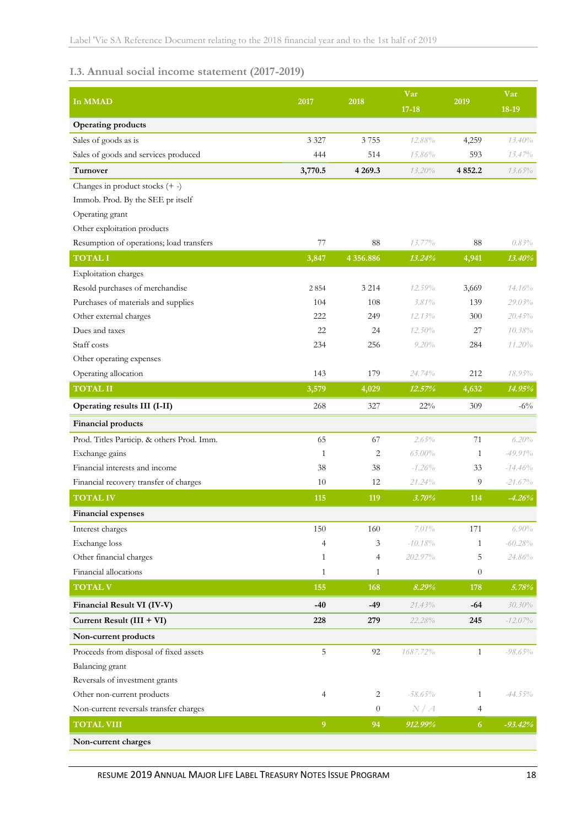# **I.3. Annual social income statement (2017-2019)**

| In MMAD                                    | 2017           | 2018           | Var<br>$17 - 18$ | 2019             | Var<br>18-19 |
|--------------------------------------------|----------------|----------------|------------------|------------------|--------------|
| <b>Operating products</b>                  |                |                |                  |                  |              |
| Sales of goods as is                       | 3 3 2 7        | 3755           | 12.88%           | 4,259            | 13.40%       |
| Sales of goods and services produced       | 444            | 514            | 15.86%           | 593              | 15.47%       |
| Turnover                                   | 3,770.5        | 4 2 6 9 . 3    | 13.20%           | 4 8 5 2.2        | $13.65\%$    |
| Changes in product stocks $(+ -)$          |                |                |                  |                  |              |
| Immob. Prod. By the SEE pr itself          |                |                |                  |                  |              |
| Operating grant                            |                |                |                  |                  |              |
| Other exploitation products                |                |                |                  |                  |              |
| Resumption of operations; load transfers   | 77             | 88             | $13.77\%$        | 88               | 0.83%        |
| <b>TOTAL I</b>                             | 3,847          | 4 356.886      | 13.24%           | 4,941            | 13.40%       |
| Exploitation charges                       |                |                |                  |                  |              |
| Resold purchases of merchandise            | 2854           | 3 2 1 4        | 12.59%           | 3,669            | 14.16%       |
| Purchases of materials and supplies        | 104            | 108            | 3.81%            | 139              | 29.03%       |
| Other external charges                     | 222            | 249            | 12.13%           | 300              | 20.45%       |
| Dues and taxes                             | 22             | 24             | 12.50%           | 27               | 10.38%       |
| Staff costs                                | 234            | 256            | 9.20%            | 284              | 11.20%       |
| Other operating expenses                   |                |                |                  |                  |              |
| Operating allocation                       | 143            | 179            | 24.74%           | 212              | 18.95%       |
| <b>TOTAL II</b>                            | 3,579          | 4,029          | 12.57%           | 4,632            | 14.95%       |
| Operating results III (I-II)               | 268            | 327            | 22%              | 309              | $-6\%$       |
| Financial products                         |                |                |                  |                  |              |
| Prod. Titles Particip. & others Prod. Imm. | 65             | 67             | 2.65%            | 71               | 6.20%        |
| Exchange gains                             | 1              | 2              | 65.00%           | 1                | $-49.91%$    |
| Financial interests and income             | 38             | 38             | $-1.26%$         | 33               | $-14.46%$    |
| Financial recovery transfer of charges     | 10             | 12             | 21.24%           | 9                | $-21.67\%$   |
| <b>TOTAL IV</b>                            | 115            | 119            | 3.70%            | 114              | $-4.26%$     |
| Financial expenses                         |                |                |                  |                  |              |
| Interest charges                           | 150            | 160            | 7.01%            | 171              | $6.90\%$     |
| Exchange loss                              | $\overline{4}$ | 3              | $-10.18%$        | 1                | $-60.28%$    |
| Other financial charges                    | 1              | 4              | 202.97%          | 5                | 24.86%       |
| Financial allocations                      | $\mathbf{1}$   | $\mathbf{1}$   |                  | $\boldsymbol{0}$ |              |
| <b>TOTAL V</b>                             | 155            | 168            | 8.29%            | 178              | 5.78%        |
| Financial Result VI (IV-V)                 | $-40$          | $-49$          | 21.43%           | $-64$            | 30.30%       |
| Current Result (III + VI)                  | 228            | 279            | 22.28%           | 245              | $-12.07\%$   |
| Non-current products                       |                |                |                  |                  |              |
| Proceeds from disposal of fixed assets     | 5              | 92             | 1687.72%         | $\mathbf{1}$     | $-98.65\%$   |
| Balancing grant                            |                |                |                  |                  |              |
| Reversals of investment grants             |                |                |                  |                  |              |
| Other non-current products                 | $\overline{4}$ | $\overline{c}$ | $-58.65\%$       | $\mathbf{1}$     | $-44.55\%$   |
| Non-current reversals transfer charges     |                | $\theta$       | N/A              | 4                |              |
| <b>TOTAL VIII</b>                          | $\overline{9}$ | 94             | 912.99%          | $\overline{6}$   | $-93.42%$    |
| Non-current charges                        |                |                |                  |                  |              |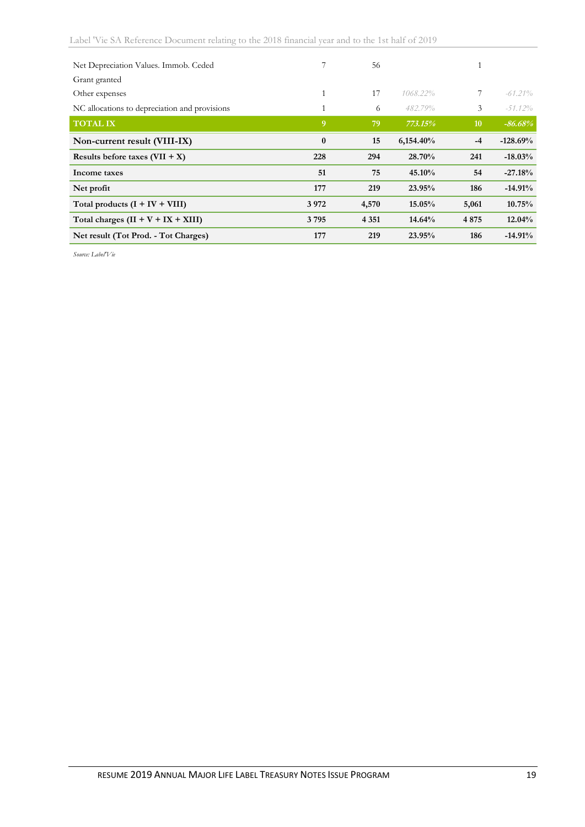| Net Depreciation Values. Immob. Ceded         |          | 56      |           |             |            |
|-----------------------------------------------|----------|---------|-----------|-------------|------------|
| Grant granted                                 |          |         |           |             |            |
| Other expenses                                | 1        | 17      | 1068.22%  | $7^{\circ}$ | $-61.21\%$ |
| NC allocations to depreciation and provisions | 1        | 6       | 482.79%   | 3           | $-51.12\%$ |
| <b>TOTAL IX</b>                               | 9        | 79      | 773.15%   | 10          | $-86.68%$  |
| Non-current result (VIII-IX)                  | $\bf{0}$ | 15      | 6,154.40% | $-4$        | $-128.69%$ |
| Results before taxes $(VII + X)$              | 228      | 294     | 28.70%    | 241         | $-18.03%$  |
| Income taxes                                  | 51       | 75      | 45.10%    | 54          | $-27.18%$  |
| Net profit                                    | 177      | 219     | 23.95%    | 186         | $-14.91%$  |
| Total products $(I + IV + VIII)$              | 3972     | 4,570   | 15.05%    | 5,061       | 10.75%     |
| Total charges $(II + V + IX + XIII)$          | 3795     | 4 3 5 1 | 14.64%    | 4875        | 12.04%     |
| Net result (Tot Prod. - Tot Charges)          | 177      | 219     | 23.95%    | 186         | $-14.91%$  |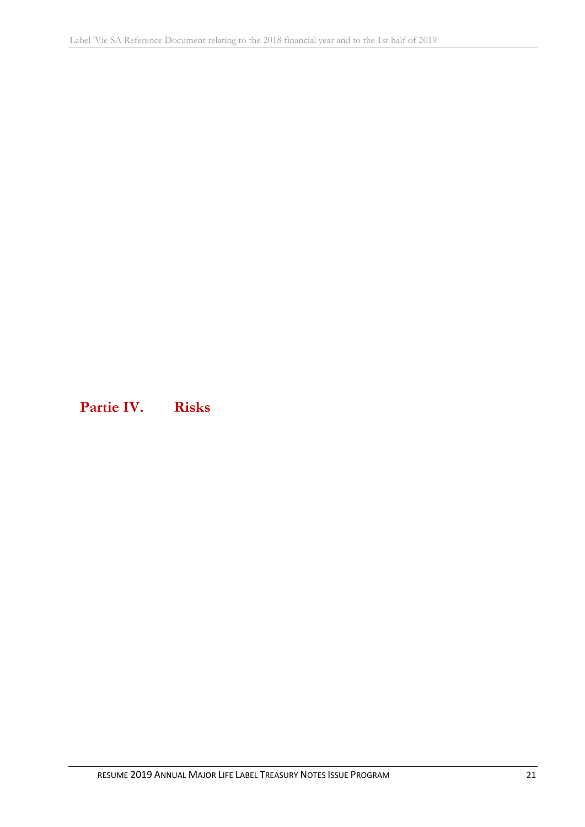<span id="page-20-0"></span>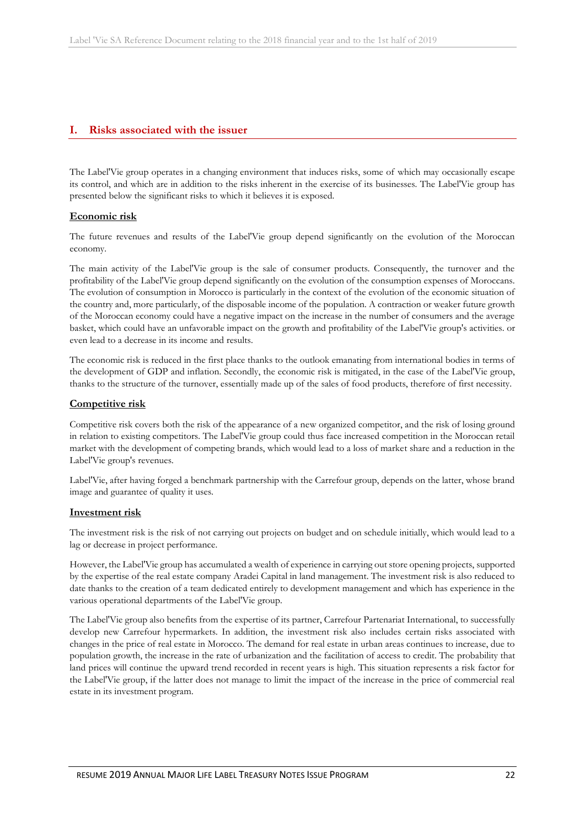### <span id="page-21-0"></span>**I. Risks associated with the issuer**

The Label'Vie group operates in a changing environment that induces risks, some of which may occasionally escape its control, and which are in addition to the risks inherent in the exercise of its businesses. The Label'Vie group has presented below the significant risks to which it believes it is exposed.

### **Economic risk**

The future revenues and results of the Label'Vie group depend significantly on the evolution of the Moroccan economy.

The main activity of the Label'Vie group is the sale of consumer products. Consequently, the turnover and the profitability of the Label'Vie group depend significantly on the evolution of the consumption expenses of Moroccans. The evolution of consumption in Morocco is particularly in the context of the evolution of the economic situation of the country and, more particularly, of the disposable income of the population. A contraction or weaker future growth of the Moroccan economy could have a negative impact on the increase in the number of consumers and the average basket, which could have an unfavorable impact on the growth and profitability of the Label'Vie group's activities. or even lead to a decrease in its income and results.

The economic risk is reduced in the first place thanks to the outlook emanating from international bodies in terms of the development of GDP and inflation. Secondly, the economic risk is mitigated, in the case of the Label'Vie group, thanks to the structure of the turnover, essentially made up of the sales of food products, therefore of first necessity.

### **Competitive risk**

Competitive risk covers both the risk of the appearance of a new organized competitor, and the risk of losing ground in relation to existing competitors. The Label'Vie group could thus face increased competition in the Moroccan retail market with the development of competing brands, which would lead to a loss of market share and a reduction in the Label'Vie group's revenues.

Label'Vie, after having forged a benchmark partnership with the Carrefour group, depends on the latter, whose brand image and guarantee of quality it uses.

#### **Investment risk**

The investment risk is the risk of not carrying out projects on budget and on schedule initially, which would lead to a lag or decrease in project performance.

However, the Label'Vie group has accumulated a wealth of experience in carrying out store opening projects, supported by the expertise of the real estate company Aradei Capital in land management. The investment risk is also reduced to date thanks to the creation of a team dedicated entirely to development management and which has experience in the various operational departments of the Label'Vie group.

The Label'Vie group also benefits from the expertise of its partner, Carrefour Partenariat International, to successfully develop new Carrefour hypermarkets. In addition, the investment risk also includes certain risks associated with changes in the price of real estate in Morocco. The demand for real estate in urban areas continues to increase, due to population growth, the increase in the rate of urbanization and the facilitation of access to credit. The probability that land prices will continue the upward trend recorded in recent years is high. This situation represents a risk factor for the Label'Vie group, if the latter does not manage to limit the impact of the increase in the price of commercial real estate in its investment program.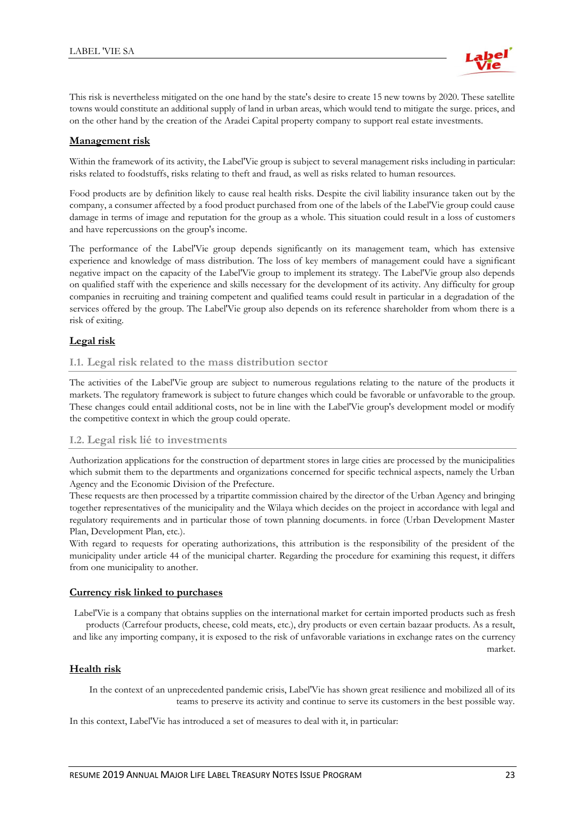

This risk is nevertheless mitigated on the one hand by the state's desire to create 15 new towns by 2020. These satellite towns would constitute an additional supply of land in urban areas, which would tend to mitigate the surge. prices, and on the other hand by the creation of the Aradei Capital property company to support real estate investments.

### **Management risk**

Within the framework of its activity, the Label'Vie group is subject to several management risks including in particular: risks related to foodstuffs, risks relating to theft and fraud, as well as risks related to human resources.

Food products are by definition likely to cause real health risks. Despite the civil liability insurance taken out by the company, a consumer affected by a food product purchased from one of the labels of the Label'Vie group could cause damage in terms of image and reputation for the group as a whole. This situation could result in a loss of customers and have repercussions on the group's income.

The performance of the Label'Vie group depends significantly on its management team, which has extensive experience and knowledge of mass distribution. The loss of key members of management could have a significant negative impact on the capacity of the Label'Vie group to implement its strategy. The Label'Vie group also depends on qualified staff with the experience and skills necessary for the development of its activity. Any difficulty for group companies in recruiting and training competent and qualified teams could result in particular in a degradation of the services offered by the group. The Label'Vie group also depends on its reference shareholder from whom there is a risk of exiting.

### **Legal risk**

### **I.1. Legal risk related to the mass distribution sector**

The activities of the Label'Vie group are subject to numerous regulations relating to the nature of the products it markets. The regulatory framework is subject to future changes which could be favorable or unfavorable to the group. These changes could entail additional costs, not be in line with the Label'Vie group's development model or modify the competitive context in which the group could operate.

### **I.2. Legal risk lié to investments**

Authorization applications for the construction of department stores in large cities are processed by the municipalities which submit them to the departments and organizations concerned for specific technical aspects, namely the Urban Agency and the Economic Division of the Prefecture.

These requests are then processed by a tripartite commission chaired by the director of the Urban Agency and bringing together representatives of the municipality and the Wilaya which decides on the project in accordance with legal and regulatory requirements and in particular those of town planning documents. in force (Urban Development Master Plan, Development Plan, etc.).

With regard to requests for operating authorizations, this attribution is the responsibility of the president of the municipality under article 44 of the municipal charter. Regarding the procedure for examining this request, it differs from one municipality to another.

### **Currency risk linked to purchases**

Label'Vie is a company that obtains supplies on the international market for certain imported products such as fresh products (Carrefour products, cheese, cold meats, etc.), dry products or even certain bazaar products. As a result, and like any importing company, it is exposed to the risk of unfavorable variations in exchange rates on the currency market.

### **Health risk**

In the context of an unprecedented pandemic crisis, Label'Vie has shown great resilience and mobilized all of its teams to preserve its activity and continue to serve its customers in the best possible way.

In this context, Label'Vie has introduced a set of measures to deal with it, in particular: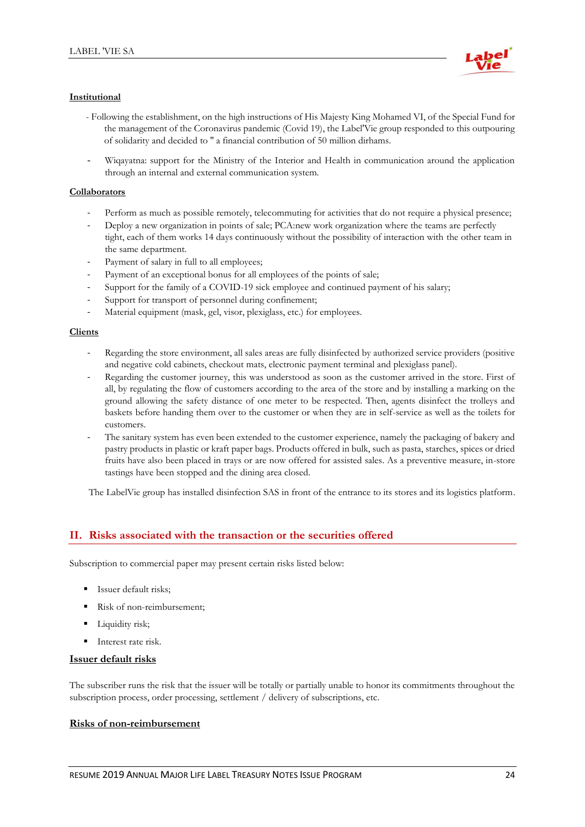

### **Institutional**

- Following the establishment, on the high instructions of His Majesty King Mohamed VI, of the Special Fund for the management of the Coronavirus pandemic (Covid 19), the Label'Vie group responded to this outpouring of solidarity and decided to '' a financial contribution of 50 million dirhams.
- Wiqayatna: support for the Ministry of the Interior and Health in communication around the application through an internal and external communication system.

### **Collaborators**

- Perform as much as possible remotely, telecommuting for activities that do not require a physical presence;
- Deploy a new organization in points of sale; PCA:new work organization where the teams are perfectly tight, each of them works 14 days continuously without the possibility of interaction with the other team in the same department.
- Payment of salary in full to all employees;
- Payment of an exceptional bonus for all employees of the points of sale;
- Support for the family of a COVID-19 sick employee and continued payment of his salary;
- Support for transport of personnel during confinement;
- Material equipment (mask, gel, visor, plexiglass, etc.) for employees.

#### **Clients**

- Regarding the store environment, all sales areas are fully disinfected by authorized service providers (positive and negative cold cabinets, checkout mats, electronic payment terminal and plexiglass panel).
- Regarding the customer journey, this was understood as soon as the customer arrived in the store. First of all, by regulating the flow of customers according to the area of the store and by installing a marking on the ground allowing the safety distance of one meter to be respected. Then, agents disinfect the trolleys and baskets before handing them over to the customer or when they are in self-service as well as the toilets for customers.
- The sanitary system has even been extended to the customer experience, namely the packaging of bakery and pastry products in plastic or kraft paper bags. Products offered in bulk, such as pasta, starches, spices or dried fruits have also been placed in trays or are now offered for assisted sales. As a preventive measure, in-store tastings have been stopped and the dining area closed.

The LabelVie group has installed disinfection SAS in front of the entrance to its stores and its logistics platform.

### <span id="page-23-0"></span>**II. Risks associated with the transaction or the securities offered**

Subscription to commercial paper may present certain risks listed below:

- **EXECUTE:** Issuer default risks;
- Risk of non-reimbursement;
- Liquidity risk;
- Interest rate risk.

#### **Issuer default risks**

The subscriber runs the risk that the issuer will be totally or partially unable to honor its commitments throughout the subscription process, order processing, settlement / delivery of subscriptions, etc.

#### **Risks of non-reimbursement**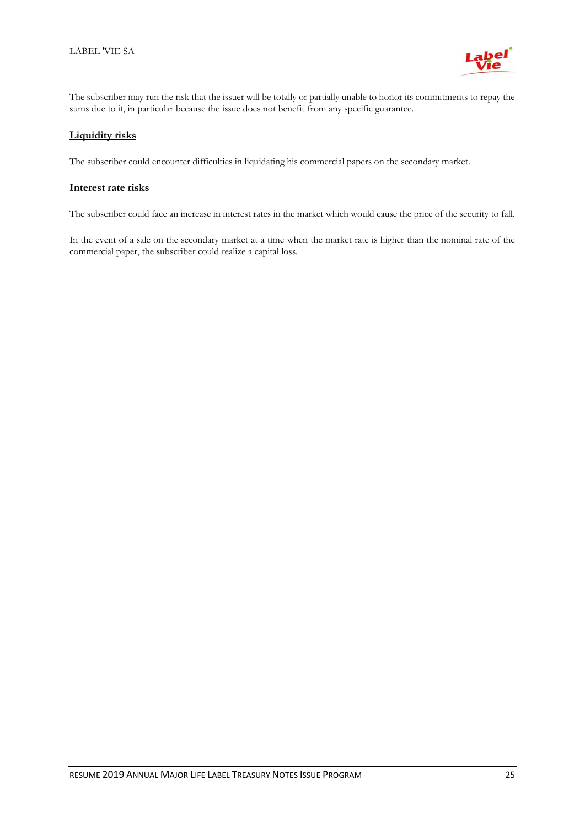

The subscriber may run the risk that the issuer will be totally or partially unable to honor its commitments to repay the sums due to it, in particular because the issue does not benefit from any specific guarantee.

### **Liquidity risks**

The subscriber could encounter difficulties in liquidating his commercial papers on the secondary market.

### **Interest rate risks**

The subscriber could face an increase in interest rates in the market which would cause the price of the security to fall.

In the event of a sale on the secondary market at a time when the market rate is higher than the nominal rate of the commercial paper, the subscriber could realize a capital loss.